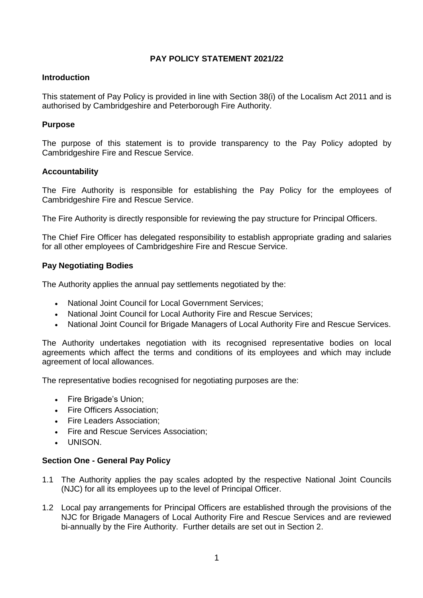# **PAY POLICY STATEMENT 2021/22**

#### **Introduction**

This statement of Pay Policy is provided in line with Section 38(i) of the Localism Act 2011 and is authorised by Cambridgeshire and Peterborough Fire Authority.

# **Purpose**

The purpose of this statement is to provide transparency to the Pay Policy adopted by Cambridgeshire Fire and Rescue Service.

# **Accountability**

The Fire Authority is responsible for establishing the Pay Policy for the employees of Cambridgeshire Fire and Rescue Service.

The Fire Authority is directly responsible for reviewing the pay structure for Principal Officers.

The Chief Fire Officer has delegated responsibility to establish appropriate grading and salaries for all other employees of Cambridgeshire Fire and Rescue Service.

# **Pay Negotiating Bodies**

The Authority applies the annual pay settlements negotiated by the:

- National Joint Council for Local Government Services;
- National Joint Council for Local Authority Fire and Rescue Services;
- National Joint Council for Brigade Managers of Local Authority Fire and Rescue Services.

The Authority undertakes negotiation with its recognised representative bodies on local agreements which affect the terms and conditions of its employees and which may include agreement of local allowances.

The representative bodies recognised for negotiating purposes are the:

- Fire Brigade's Union;
- Fire Officers Association:
- Fire Leaders Association:
- **Fire and Rescue Services Association;**
- UNISON.

#### **Section One - General Pay Policy**

- 1.1 The Authority applies the pay scales adopted by the respective National Joint Councils (NJC) for all its employees up to the level of Principal Officer.
- 1.2 Local pay arrangements for Principal Officers are established through the provisions of the NJC for Brigade Managers of Local Authority Fire and Rescue Services and are reviewed bi-annually by the Fire Authority. Further details are set out in Section 2.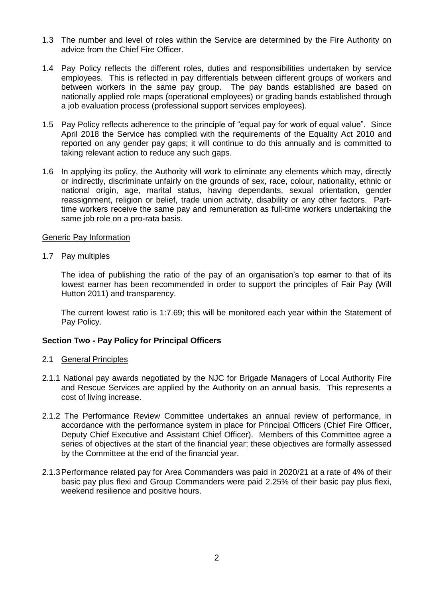- 1.3 The number and level of roles within the Service are determined by the Fire Authority on advice from the Chief Fire Officer.
- 1.4 Pay Policy reflects the different roles, duties and responsibilities undertaken by service employees. This is reflected in pay differentials between different groups of workers and between workers in the same pay group. The pay bands established are based on nationally applied role maps (operational employees) or grading bands established through a job evaluation process (professional support services employees).
- 1.5 Pay Policy reflects adherence to the principle of "equal pay for work of equal value". Since April 2018 the Service has complied with the requirements of the Equality Act 2010 and reported on any gender pay gaps; it will continue to do this annually and is committed to taking relevant action to reduce any such gaps.
- 1.6 In applying its policy, the Authority will work to eliminate any elements which may, directly or indirectly, discriminate unfairly on the grounds of sex, race, colour, nationality, ethnic or national origin, age, marital status, having dependants, sexual orientation, gender reassignment, religion or belief, trade union activity, disability or any other factors. Parttime workers receive the same pay and remuneration as full-time workers undertaking the same job role on a pro-rata basis.

#### Generic Pay Information

1.7 Pay multiples

The idea of publishing the ratio of the pay of an organisation's top earner to that of its lowest earner has been recommended in order to support the principles of Fair Pay (Will Hutton 2011) and transparency.

The current lowest ratio is 1:7.69; this will be monitored each year within the Statement of Pay Policy.

#### **Section Two - Pay Policy for Principal Officers**

#### 2.1 General Principles

- 2.1.1 National pay awards negotiated by the NJC for Brigade Managers of Local Authority Fire and Rescue Services are applied by the Authority on an annual basis. This represents a cost of living increase.
- 2.1.2 The Performance Review Committee undertakes an annual review of performance, in accordance with the performance system in place for Principal Officers (Chief Fire Officer, Deputy Chief Executive and Assistant Chief Officer). Members of this Committee agree a series of objectives at the start of the financial year; these objectives are formally assessed by the Committee at the end of the financial year.
- 2.1.3Performance related pay for Area Commanders was paid in 2020/21 at a rate of 4% of their basic pay plus flexi and Group Commanders were paid 2.25% of their basic pay plus flexi, weekend resilience and positive hours.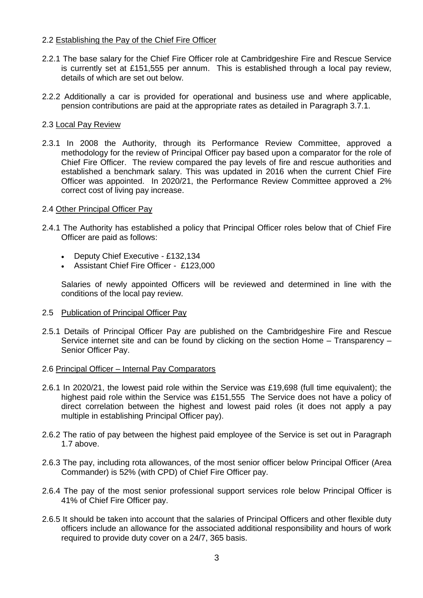### 2.2 Establishing the Pay of the Chief Fire Officer

- 2.2.1 The base salary for the Chief Fire Officer role at Cambridgeshire Fire and Rescue Service is currently set at £151,555 per annum. This is established through a local pay review, details of which are set out below.
- 2.2.2 Additionally a car is provided for operational and business use and where applicable, pension contributions are paid at the appropriate rates as detailed in Paragraph 3.7.1.

# 2.3 Local Pay Review

2.3.1 In 2008 the Authority, through its Performance Review Committee, approved a methodology for the review of Principal Officer pay based upon a comparator for the role of Chief Fire Officer. The review compared the pay levels of fire and rescue authorities and established a benchmark salary. This was updated in 2016 when the current Chief Fire Officer was appointed. In 2020/21, the Performance Review Committee approved a 2% correct cost of living pay increase.

# 2.4 Other Principal Officer Pay

- 2.4.1 The Authority has established a policy that Principal Officer roles below that of Chief Fire Officer are paid as follows:
	- Deputy Chief Executive £132,134
	- Assistant Chief Fire Officer £123,000

Salaries of newly appointed Officers will be reviewed and determined in line with the conditions of the local pay review.

- 2.5 Publication of Principal Officer Pay
- 2.5.1 Details of Principal Officer Pay are published on the Cambridgeshire Fire and Rescue Service internet site and can be found by clicking on the section Home – Transparency – Senior Officer Pay.

#### 2.6 Principal Officer – Internal Pay Comparators

- 2.6.1 In 2020/21, the lowest paid role within the Service was £19,698 (full time equivalent); the highest paid role within the Service was £151,555 The Service does not have a policy of direct correlation between the highest and lowest paid roles (it does not apply a pay multiple in establishing Principal Officer pay).
- 2.6.2 The ratio of pay between the highest paid employee of the Service is set out in Paragraph 1.7 above.
- 2.6.3 The pay, including rota allowances, of the most senior officer below Principal Officer (Area Commander) is 52% (with CPD) of Chief Fire Officer pay.
- 2.6.4 The pay of the most senior professional support services role below Principal Officer is 41% of Chief Fire Officer pay.
- 2.6.5 It should be taken into account that the salaries of Principal Officers and other flexible duty officers include an allowance for the associated additional responsibility and hours of work required to provide duty cover on a 24/7, 365 basis.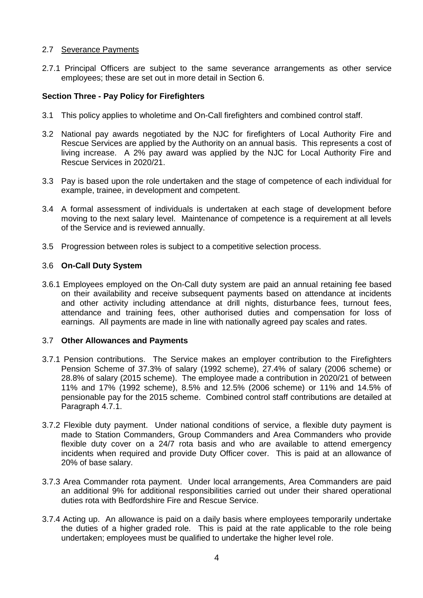# 2.7 Severance Payments

2.7.1 Principal Officers are subject to the same severance arrangements as other service employees; these are set out in more detail in Section 6.

# **Section Three - Pay Policy for Firefighters**

- 3.1 This policy applies to wholetime and On-Call firefighters and combined control staff.
- 3.2 National pay awards negotiated by the NJC for firefighters of Local Authority Fire and Rescue Services are applied by the Authority on an annual basis. This represents a cost of living increase. A 2% pay award was applied by the NJC for Local Authority Fire and Rescue Services in 2020/21.
- 3.3 Pay is based upon the role undertaken and the stage of competence of each individual for example, trainee, in development and competent.
- 3.4 A formal assessment of individuals is undertaken at each stage of development before moving to the next salary level. Maintenance of competence is a requirement at all levels of the Service and is reviewed annually.
- 3.5 Progression between roles is subject to a competitive selection process.

# 3.6 **On-Call Duty System**

3.6.1 Employees employed on the On-Call duty system are paid an annual retaining fee based on their availability and receive subsequent payments based on attendance at incidents and other activity including attendance at drill nights, disturbance fees, turnout fees, attendance and training fees, other authorised duties and compensation for loss of earnings. All payments are made in line with nationally agreed pay scales and rates.

#### 3.7 **Other Allowances and Payments**

- 3.7.1 Pension contributions. The Service makes an employer contribution to the Firefighters Pension Scheme of 37.3% of salary (1992 scheme), 27.4% of salary (2006 scheme) or 28.8% of salary (2015 scheme). The employee made a contribution in 2020/21 of between 11% and 17% (1992 scheme), 8.5% and 12.5% (2006 scheme) or 11% and 14.5% of pensionable pay for the 2015 scheme. Combined control staff contributions are detailed at Paragraph 4.7.1.
- 3.7.2 Flexible duty payment. Under national conditions of service, a flexible duty payment is made to Station Commanders, Group Commanders and Area Commanders who provide flexible duty cover on a 24/7 rota basis and who are available to attend emergency incidents when required and provide Duty Officer cover. This is paid at an allowance of 20% of base salary.
- 3.7.3 Area Commander rota payment. Under local arrangements, Area Commanders are paid an additional 9% for additional responsibilities carried out under their shared operational duties rota with Bedfordshire Fire and Rescue Service.
- 3.7.4 Acting up. An allowance is paid on a daily basis where employees temporarily undertake the duties of a higher graded role. This is paid at the rate applicable to the role being undertaken; employees must be qualified to undertake the higher level role.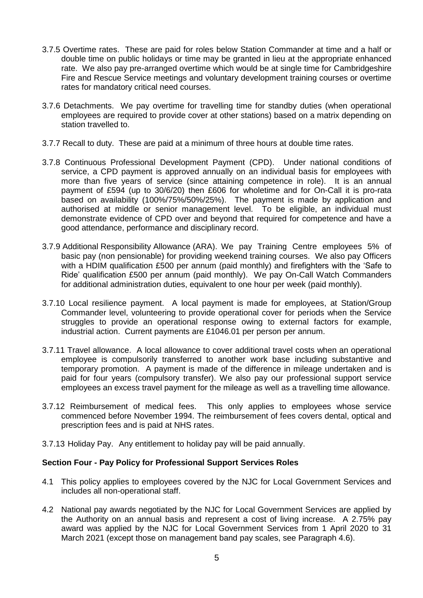- 3.7.5 Overtime rates. These are paid for roles below Station Commander at time and a half or double time on public holidays or time may be granted in lieu at the appropriate enhanced rate. We also pay pre-arranged overtime which would be at single time for Cambridgeshire Fire and Rescue Service meetings and voluntary development training courses or overtime rates for mandatory critical need courses.
- 3.7.6 Detachments. We pay overtime for travelling time for standby duties (when operational employees are required to provide cover at other stations) based on a matrix depending on station travelled to.
- 3.7.7 Recall to duty. These are paid at a minimum of three hours at double time rates.
- 3.7.8 Continuous Professional Development Payment (CPD). Under national conditions of service, a CPD payment is approved annually on an individual basis for employees with more than five years of service (since attaining competence in role). It is an annual payment of £594 (up to 30/6/20) then £606 for wholetime and for On-Call it is pro-rata based on availability (100%/75%/50%/25%). The payment is made by application and authorised at middle or senior management level. To be eligible, an individual must demonstrate evidence of CPD over and beyond that required for competence and have a good attendance, performance and disciplinary record.
- 3.7.9 Additional Responsibility Allowance (ARA). We pay Training Centre employees 5% of basic pay (non pensionable) for providing weekend training courses. We also pay Officers with a HDIM qualification £500 per annum (paid monthly) and firefighters with the 'Safe to Ride' qualification £500 per annum (paid monthly). We pay On-Call Watch Commanders for additional administration duties, equivalent to one hour per week (paid monthly).
- 3.7.10 Local resilience payment. A local payment is made for employees, at Station/Group Commander level, volunteering to provide operational cover for periods when the Service struggles to provide an operational response owing to external factors for example, industrial action. Current payments are £1046.01 per person per annum.
- 3.7.11 Travel allowance. A local allowance to cover additional travel costs when an operational employee is compulsorily transferred to another work base including substantive and temporary promotion. A payment is made of the difference in mileage undertaken and is paid for four years (compulsory transfer). We also pay our professional support service employees an excess travel payment for the mileage as well as a travelling time allowance.
- 3.7.12 Reimbursement of medical fees. This only applies to employees whose service commenced before November 1994. The reimbursement of fees covers dental, optical and prescription fees and is paid at NHS rates.
- 3.7.13 Holiday Pay. Any entitlement to holiday pay will be paid annually.

### **Section Four - Pay Policy for Professional Support Services Roles**

- 4.1 This policy applies to employees covered by the NJC for Local Government Services and includes all non-operational staff.
- 4.2 National pay awards negotiated by the NJC for Local Government Services are applied by the Authority on an annual basis and represent a cost of living increase. A 2.75% pay award was applied by the NJC for Local Government Services from 1 April 2020 to 31 March 2021 (except those on management band pay scales, see Paragraph 4.6).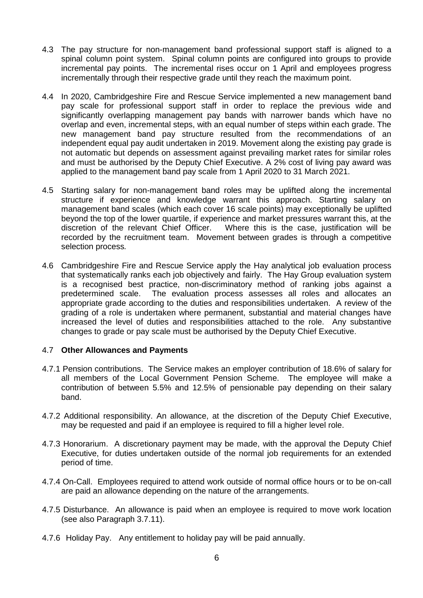- 4.3 The pay structure for non-management band professional support staff is aligned to a spinal column point system. Spinal column points are configured into groups to provide incremental pay points. The incremental rises occur on 1 April and employees progress incrementally through their respective grade until they reach the maximum point.
- 4.4 In 2020, Cambridgeshire Fire and Rescue Service implemented a new management band pay scale for professional support staff in order to replace the previous wide and significantly overlapping management pay bands with narrower bands which have no overlap and even, incremental steps, with an equal number of steps within each grade. The new management band pay structure resulted from the recommendations of an independent equal pay audit undertaken in 2019. Movement along the existing pay grade is not automatic but depends on assessment against prevailing market rates for similar roles and must be authorised by the Deputy Chief Executive. A 2% cost of living pay award was applied to the management band pay scale from 1 April 2020 to 31 March 2021.
- 4.5 Starting salary for non-management band roles may be uplifted along the incremental structure if experience and knowledge warrant this approach. Starting salary on management band scales (which each cover 16 scale points) may exceptionally be uplifted beyond the top of the lower quartile, if experience and market pressures warrant this, at the discretion of the relevant Chief Officer. Where this is the case, justification will be recorded by the recruitment team. Movement between grades is through a competitive selection process*.*
- 4.6 Cambridgeshire Fire and Rescue Service apply the Hay analytical job evaluation process that systematically ranks each job objectively and fairly. The Hay Group evaluation system is a recognised best practice, non-discriminatory method of ranking jobs against a predetermined scale. The evaluation process assesses all roles and allocates an appropriate grade according to the duties and responsibilities undertaken. A review of the grading of a role is undertaken where permanent, substantial and material changes have increased the level of duties and responsibilities attached to the role. Any substantive changes to grade or pay scale must be authorised by the Deputy Chief Executive.

#### 4.7 **Other Allowances and Payments**

- 4.7.1 Pension contributions. The Service makes an employer contribution of 18.6% of salary for all members of the Local Government Pension Scheme. The employee will make a contribution of between 5.5% and 12.5% of pensionable pay depending on their salary band.
- 4.7.2 Additional responsibility. An allowance, at the discretion of the Deputy Chief Executive, may be requested and paid if an employee is required to fill a higher level role.
- 4.7.3 Honorarium. A discretionary payment may be made, with the approval the Deputy Chief Executive, for duties undertaken outside of the normal job requirements for an extended period of time.
- 4.7.4 On-Call. Employees required to attend work outside of normal office hours or to be on-call are paid an allowance depending on the nature of the arrangements.
- 4.7.5 Disturbance. An allowance is paid when an employee is required to move work location (see also Paragraph 3.7.11).
- 4.7.6 Holiday Pay. Any entitlement to holiday pay will be paid annually.